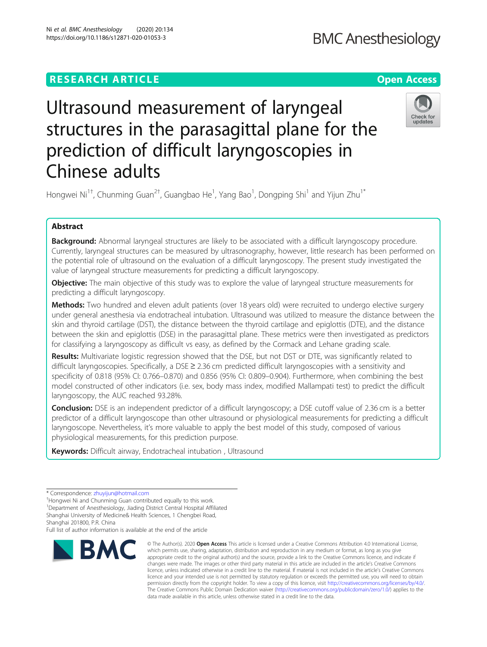## **RESEARCH ARTICLE Example 2014 12:30 The Open Access** Ultrasound measurement of laryngeal

structures in the parasagittal plane for the prediction of difficult laryngoscopies in Chinese adults

Hongwei Ni<sup>1†</sup>, Chunming Guan<sup>2†</sup>, Guangbao He<sup>1</sup>, Yang Bao<sup>1</sup>, Dongping Shi<sup>1</sup> and Yijun Zhu<sup>1\*</sup>

### Abstract

**Background:** Abnormal laryngeal structures are likely to be associated with a difficult laryngoscopy procedure. Currently, laryngeal structures can be measured by ultrasonography, however, little research has been performed on the potential role of ultrasound on the evaluation of a difficult laryngoscopy. The present study investigated the value of laryngeal structure measurements for predicting a difficult laryngoscopy.

**Objective:** The main objective of this study was to explore the value of laryngeal structure measurements for predicting a difficult laryngoscopy.

Methods: Two hundred and eleven adult patients (over 18 years old) were recruited to undergo elective surgery under general anesthesia via endotracheal intubation. Ultrasound was utilized to measure the distance between the skin and thyroid cartilage (DST), the distance between the thyroid cartilage and epiglottis (DTE), and the distance between the skin and epiglottis (DSE) in the parasagittal plane. These metrics were then investigated as predictors for classifying a laryngoscopy as difficult vs easy, as defined by the Cormack and Lehane grading scale.

Results: Multivariate logistic regression showed that the DSE, but not DST or DTE, was significantly related to difficult laryngoscopies. Specifically, a DSE ≥ 2.36 cm predicted difficult laryngoscopies with a sensitivity and specificity of 0.818 (95% CI: 0.766–0.870) and 0.856 (95% CI: 0.809–0.904). Furthermore, when combining the best model constructed of other indicators (i.e. sex, body mass index, modified Mallampati test) to predict the difficult laryngoscopy, the AUC reached 93.28%.

Conclusion: DSE is an independent predictor of a difficult laryngoscopy; a DSE cutoff value of 2.36 cm is a better predictor of a difficult laryngoscope than other ultrasound or physiological measurements for predicting a difficult laryngoscope. Nevertheless, it's more valuable to apply the best model of this study, composed of various physiological measurements, for this prediction purpose.

Keywords: Difficult airway, Endotracheal intubation, Ultrasound

Shanghai 201800, P.R. China

Full list of author information is available at the end of the article

# Ni et al. BMC Anesthesiology (2020) 20:134 https://doi.org/10.1186/s12871-020-01053-3



<sup>©</sup> The Author(s), 2020 **Open Access** This article is licensed under a Creative Commons Attribution 4.0 International License, which permits use, sharing, adaptation, distribution and reproduction in any medium or format, as long as you give appropriate credit to the original author(s) and the source, provide a link to the Creative Commons licence, and indicate if changes were made. The images or other third party material in this article are included in the article's Creative Commons licence, unless indicated otherwise in a credit line to the material. If material is not included in the article's Creative Commons licence and your intended use is not permitted by statutory regulation or exceeds the permitted use, you will need to obtain permission directly from the copyright holder. To view a copy of this licence, visit [http://creativecommons.org/licenses/by/4.0/.](http://creativecommons.org/licenses/by/4.0/) The Creative Commons Public Domain Dedication waiver [\(http://creativecommons.org/publicdomain/zero/1.0/](http://creativecommons.org/publicdomain/zero/1.0/)) applies to the data made available in this article, unless otherwise stated in a credit line to the data.



<sup>\*</sup> Correspondence: [zhuyijun@hotmail.com](mailto:zhuyijun@hotmail.com) †

<sup>&</sup>lt;sup>†</sup>Hongwei Ni and Chunming Guan contributed equally to this work.

<sup>&</sup>lt;sup>1</sup>Department of Anesthesiology, Jiading District Central Hospital Affiliated Shanghai University of Medicine& Health Sciences, 1 Chengbei Road,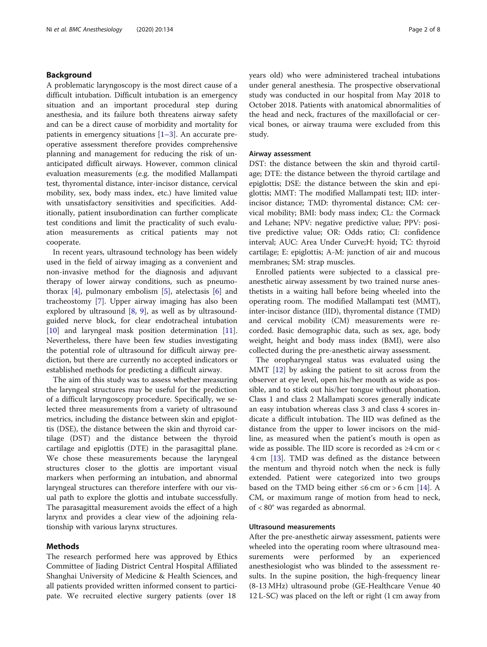#### Background

A problematic laryngoscopy is the most direct cause of a difficult intubation. Difficult intubation is an emergency situation and an important procedural step during anesthesia, and its failure both threatens airway safety and can be a direct cause of morbidity and mortality for patients in emergency situations  $[1-3]$  $[1-3]$  $[1-3]$  $[1-3]$ . An accurate preoperative assessment therefore provides comprehensive planning and management for reducing the risk of unanticipated difficult airways. However, common clinical evaluation measurements (e.g. the modified Mallampati test, thyromental distance, inter-incisor distance, cervical mobility, sex, body mass index, etc.) have limited value with unsatisfactory sensitivities and specificities. Additionally, patient insubordination can further complicate test conditions and limit the practicality of such evaluation measurements as critical patients may not cooperate.

In recent years, ultrasound technology has been widely used in the field of airway imaging as a convenient and non-invasive method for the diagnosis and adjuvant therapy of lower airway conditions, such as pneumothorax  $[4]$  $[4]$ , pulmonary embolism  $[5]$  $[5]$  $[5]$ , atelectasis  $[6]$  $[6]$  and tracheostomy [[7](#page-7-0)]. Upper airway imaging has also been explored by ultrasound [\[8](#page-7-0), [9](#page-7-0)], as well as by ultrasoundguided nerve block, for clear endotracheal intubation [[10\]](#page-7-0) and laryngeal mask position determination [\[11](#page-7-0)]. Nevertheless, there have been few studies investigating the potential role of ultrasound for difficult airway prediction, but there are currently no accepted indicators or established methods for predicting a difficult airway.

The aim of this study was to assess whether measuring the laryngeal structures may be useful for the prediction of a difficult laryngoscopy procedure. Specifically, we selected three measurements from a variety of ultrasound metrics, including the distance between skin and epiglottis (DSE), the distance between the skin and thyroid cartilage (DST) and the distance between the thyroid cartilage and epiglottis (DTE) in the parasagittal plane. We chose these measurements because the laryngeal structures closer to the glottis are important visual markers when performing an intubation, and abnormal laryngeal structures can therefore interfere with our visual path to explore the glottis and intubate successfully. The parasagittal measurement avoids the effect of a high larynx and provides a clear view of the adjoining relationship with various larynx structures.

#### Methods

The research performed here was approved by Ethics Committee of Jiading District Central Hospital Affiliated Shanghai University of Medicine & Health Sciences, and all patients provided written informed consent to participate. We recruited elective surgery patients (over 18

years old) who were administered tracheal intubations under general anesthesia. The prospective observational study was conducted in our hospital from May 2018 to October 2018. Patients with anatomical abnormalities of the head and neck, fractures of the maxillofacial or cervical bones, or airway trauma were excluded from this study.

#### Airway assessment

DST: the distance between the skin and thyroid cartilage; DTE: the distance between the thyroid cartilage and epiglottis; DSE: the distance between the skin and epiglottis; MMT: The modified Mallampati test; IID: interincisor distance; TMD: thyromental distance; CM: cervical mobility; BMI: body mass index; CL: the Cormack and Lehane; NPV: negative predictive value; PPV: positive predictive value; OR: Odds ratio; CI: confidence interval; AUC: Area Under Curve;H: hyoid; TC: thyroid cartilage; E: epiglottis; A-M: junction of air and mucous membranes; SM: strap muscles.

Enrolled patients were subjected to a classical preanesthetic airway assessment by two trained nurse anesthetists in a waiting hall before being wheeled into the operating room. The modified Mallampati test (MMT), inter-incisor distance (IID), thyromental distance (TMD) and cervical mobility (CM) measurements were recorded. Basic demographic data, such as sex, age, body weight, height and body mass index (BMI), were also collected during the pre-anesthetic airway assessment.

The oropharyngeal status was evaluated using the MMT [[12\]](#page-7-0) by asking the patient to sit across from the observer at eye level, open his/her mouth as wide as possible, and to stick out his/her tongue without phonation. Class 1 and class 2 Mallampati scores generally indicate an easy intubation whereas class 3 and class 4 scores indicate a difficult intubation. The IID was defined as the distance from the upper to lower incisors on the midline, as measured when the patient's mouth is open as wide as possible. The IID score is recorded as ≥4 cm or < 4 cm [\[13\]](#page-7-0). TMD was defined as the distance between the mentum and thyroid notch when the neck is fully extended. Patient were categorized into two groups based on the TMD being either ≤6 cm or > 6 cm [\[14\]](#page-7-0). A CM, or maximum range of motion from head to neck, of < 80° was regarded as abnormal.

#### Ultrasound measurements

After the pre-anesthetic airway assessment, patients were wheeled into the operating room where ultrasound measurements were performed by an experienced anesthesiologist who was blinded to the assessment results. In the supine position, the high-frequency linear (8-13 MHz) ultrasound probe (GE-Healthcare Venue 40 12 L-SC) was placed on the left or right (1 cm away from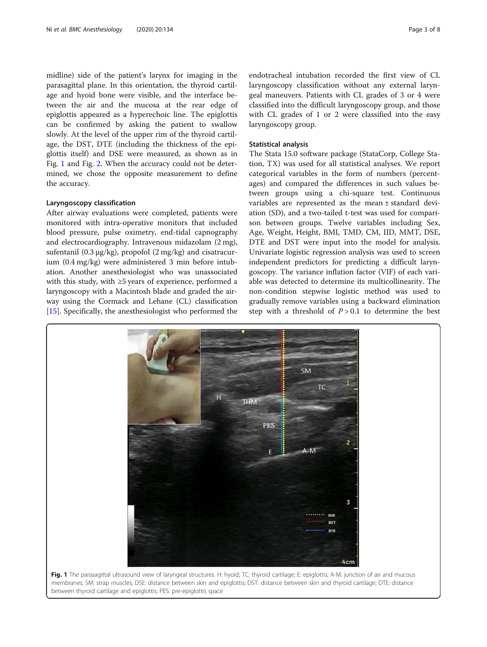<span id="page-2-0"></span>midline) side of the patient's larynx for imaging in the parasagittal plane. In this orientation, the thyroid cartilage and hyoid bone were visible, and the interface between the air and the mucosa at the rear edge of epiglottis appeared as a hyperechoic line. The epiglottis can be confirmed by asking the patient to swallow slowly. At the level of the upper rim of the thyroid cartilage, the DST, DTE (including the thickness of the epiglottis itself) and DSE were measured, as shown as in Fig. 1 and Fig. [2](#page-3-0). When the accuracy could not be determined, we chose the opposite measurement to define the accuracy.

#### Laryngoscopy classification

After airway evaluations were completed, patients were monitored with intra-operative monitors that included blood pressure, pulse oximetry, end-tidal capnography and electrocardiography. Intravenous midazolam (2 mg), sufentanil (0.3 μg/kg), propofol (2 mg/kg) and cisatracurium (0.4 mg/kg) were administered 3 min before intubation. Another anesthesiologist who was unassociated with this study, with ≥5 years of experience, performed a laryngoscopy with a Macintosh blade and graded the airway using the Cormack and Lehane (CL) classification [[15\]](#page-7-0). Specifically, the anesthesiologist who performed the

endotracheal intubation recorded the first view of CL laryngoscopy classification without any external laryngeal maneuvers. Patients with CL grades of 3 or 4 were classified into the difficult laryngoscopy group, and those with CL grades of 1 or 2 were classified into the easy laryngoscopy group.

#### Statistical analysis

The Stata 15.0 software package (StataCorp, College Station, TX) was used for all statistical analyses. We report categorical variables in the form of numbers (percentages) and compared the differences in such values between groups using a chi-square test. Continuous variables are represented as the mean ± standard deviation (SD), and a two-tailed t-test was used for comparison between groups. Twelve variables including Sex, Age, Weight, Height, BMI, TMD, CM, IID, MMT, DSE, DTE and DST were input into the model for analysis. Univariate logistic regression analysis was used to screen independent predictors for predicting a difficult laryngoscopy. The variance inflation factor (VIF) of each variable was detected to determine its multicollinearity. The non-condition stepwise logistic method was used to gradually remove variables using a backward elimination step with a threshold of  $P > 0.1$  to determine the best

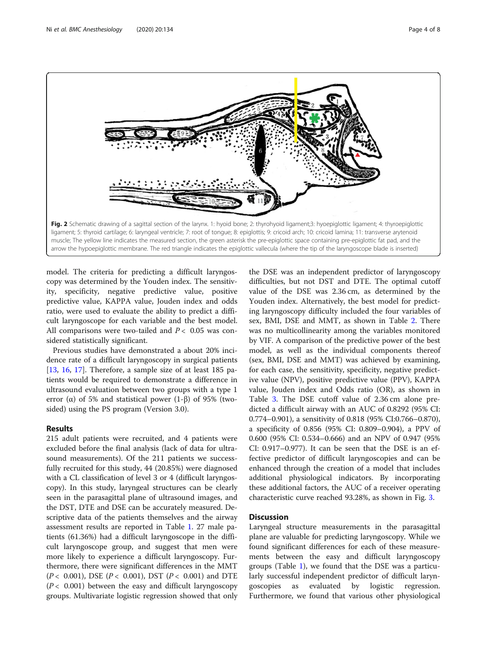<span id="page-3-0"></span>

model. The criteria for predicting a difficult laryngoscopy was determined by the Youden index. The sensitivity, specificity, negative predictive value, positive predictive value, KAPPA value, Jouden index and odds ratio, were used to evaluate the ability to predict a difficult laryngoscope for each variable and the best model. All comparisons were two-tailed and  $P < 0.05$  was considered statistically significant.

Previous studies have demonstrated a about 20% incidence rate of a difficult laryngoscopy in surgical patients [[13,](#page-7-0) [16](#page-7-0), [17\]](#page-7-0). Therefore, a sample size of at least 185 patients would be required to demonstrate a difference in ultrasound evaluation between two groups with a type 1 error ( $\alpha$ ) of 5% and statistical power (1- $\beta$ ) of 95% (twosided) using the PS program (Version 3.0).

#### Results

215 adult patients were recruited, and 4 patients were excluded before the final analysis (lack of data for ultrasound measurements). Of the 211 patients we successfully recruited for this study, 44 (20.85%) were diagnosed with a CL classification of level 3 or 4 (difficult laryngoscopy). In this study, laryngeal structures can be clearly seen in the parasagittal plane of ultrasound images, and the DST, DTE and DSE can be accurately measured. Descriptive data of the patients themselves and the airway assessment results are reported in Table [1](#page-4-0). 27 male patients (61.36%) had a difficult laryngoscope in the difficult laryngoscope group, and suggest that men were more likely to experience a difficult laryngoscopy. Furthermore, there were significant differences in the MMT ( $P < 0.001$ ), DSE ( $P < 0.001$ ), DST ( $P < 0.001$ ) and DTE  $(P< 0.001)$  between the easy and difficult laryngoscopy groups. Multivariate logistic regression showed that only

the DSE was an independent predictor of laryngoscopy difficulties, but not DST and DTE. The optimal cutoff value of the DSE was 2.36 cm, as determined by the Youden index. Alternatively, the best model for predicting laryngoscopy difficulty included the four variables of sex, BMI, DSE and MMT, as shown in Table [2.](#page-4-0) There was no multicollinearity among the variables monitored by VIF. A comparison of the predictive power of the best model, as well as the individual components thereof (sex, BMI, DSE and MMT) was achieved by examining, for each case, the sensitivity, specificity, negative predictive value (NPV), positive predictive value (PPV), KAPPA value, Jouden index and Odds ratio (OR), as shown in Table [3.](#page-5-0) The DSE cutoff value of 2.36 cm alone predicted a difficult airway with an AUC of 0.8292 (95% CI: 0.774–0.901), a sensitivity of 0.818 (95% CI:0.766–0.870), a specificity of 0.856 (95% CI: 0.809–0.904), a PPV of 0.600 (95% CI: 0.534–0.666) and an NPV of 0.947 (95% CI: 0.917–0.977). It can be seen that the DSE is an effective predictor of difficult laryngoscopies and can be enhanced through the creation of a model that includes additional physiological indicators. By incorporating these additional factors, the AUC of a receiver operating characteristic curve reached 93.28%, as shown in Fig. [3.](#page-5-0)

#### **Discussion**

Laryngeal structure measurements in the parasagittal plane are valuable for predicting laryngoscopy. While we found significant differences for each of these measurements between the easy and difficult laryngoscopy groups (Table [1\)](#page-4-0), we found that the DSE was a particularly successful independent predictor of difficult laryngoscopies as evaluated by logistic regression. Furthermore, we found that various other physiological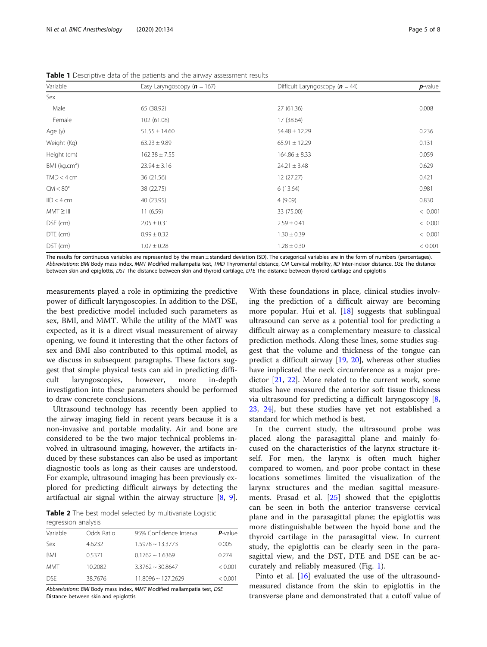| Variable                  | Easy Laryngoscopy ( $n = 167$ ) | Difficult Laryngoscopy $(n = 44)$ | $p$ -value |
|---------------------------|---------------------------------|-----------------------------------|------------|
| Sex                       |                                 |                                   |            |
| Male                      | 65 (38.92)                      | 27 (61.36)                        | 0.008      |
| Female                    | 102 (61.08)                     | 17 (38.64)                        |            |
| Age (y)                   | $51.55 \pm 14.60$               | $54.48 \pm 12.29$                 | 0.236      |
| Weight (Kg)               | $63.23 \pm 9.89$                | $65.91 \pm 12.29$                 | 0.131      |
| Height (cm)               | $162.38 \pm 7.55$               | $164.86 \pm 8.33$                 | 0.059      |
| BMI (kg.cm <sup>2</sup> ) | $23.94 \pm 3.16$                | $24.21 \pm 3.48$                  | 0.629      |
| $TMD < 4$ cm              | 36 (21.56)                      | 12 (27.27)                        | 0.421      |
| $CM < 80^\circ$           | 38 (22.75)                      | 6(13.64)                          |            |
| $ID < 4$ cm               | 40 (23.95)                      | 4(9.09)                           |            |
| $MMT \geq III$            | 11(6.59)                        | 33 (75.00)                        | < 0.001    |
| DSE (cm)                  | $2.05 \pm 0.31$                 | $2.59 \pm 0.41$                   | < 0.001    |
| DTE (cm)                  | $0.99 \pm 0.32$                 | $1.30 \pm 0.39$                   | < 0.001    |
| DST (cm)                  | $1.07 \pm 0.28$                 | $1.28 \pm 0.30$                   | < 0.001    |

<span id="page-4-0"></span>Table 1 Descriptive data of the patients and the airway assessment results

The results for continuous variables are represented by the mean ± standard deviation (SD). The categorical variables are in the form of numbers (percentages). Abbreviations: BMI Body mass index, MMT Modified mallampatia test, TMD Thyromental distance, CM Cervical mobility, IID Inter-incisor distance, DSE The distance between skin and epiglottis, DST The distance between skin and thyroid cartilage, DTE The distance between thyroid cartilage and epiglottis

measurements played a role in optimizing the predictive power of difficult laryngoscopies. In addition to the DSE, the best predictive model included such parameters as sex, BMI, and MMT. While the utility of the MMT was expected, as it is a direct visual measurement of airway opening, we found it interesting that the other factors of sex and BMI also contributed to this optimal model, as we discuss in subsequent paragraphs. These factors suggest that simple physical tests can aid in predicting difficult laryngoscopies, however, more in-depth investigation into these parameters should be performed to draw concrete conclusions.

Ultrasound technology has recently been applied to the airway imaging field in recent years because it is a non-invasive and portable modality. Air and bone are considered to be the two major technical problems involved in ultrasound imaging, however, the artifacts induced by these substances can also be used as important diagnostic tools as long as their causes are understood. For example, ultrasound imaging has been previously explored for predicting difficult airways by detecting the artifactual air signal within the airway structure [[8,](#page-7-0) [9](#page-7-0)].

Table 2 The best model selected by multivariate Logistic regression analysis

| Variable   | Odds Ratio | 95% Confidence Interval    | $P$ -value |  |  |
|------------|------------|----------------------------|------------|--|--|
| Sex        | 4.6232     | $1.5978 \sim 13.3773$      | 0.005      |  |  |
| <b>BMI</b> | 0.5371     | $0.1762 \approx 1.6369$    | 0.274      |  |  |
| MMT        | 10.2082    | $3.3762 \approx 30.8647$   | < 0.001    |  |  |
| <b>DSF</b> | 38.7676    | $11.8096 \approx 127.2629$ | < 0.001    |  |  |

Abbreviations: BMI Body mass index, MMT Modified mallampatia test, DSE Distance between skin and epiglottis

With these foundations in place, clinical studies involving the prediction of a difficult airway are becoming more popular. Hui et al. [\[18](#page-7-0)] suggests that sublingual ultrasound can serve as a potential tool for predicting a difficult airway as a complementary measure to classical prediction methods. Along these lines, some studies suggest that the volume and thickness of the tongue can predict a difficult airway [[19,](#page-7-0) [20](#page-7-0)], whereas other studies have implicated the neck circumference as a major predictor [[21,](#page-7-0) [22](#page-7-0)]. More related to the current work, some studies have measured the anterior soft tissue thickness via ultrasound for predicting a difficult laryngoscopy [\[8](#page-7-0), [23,](#page-7-0) [24](#page-7-0)], but these studies have yet not established a standard for which method is best.

In the current study, the ultrasound probe was placed along the parasagittal plane and mainly focused on the characteristics of the larynx structure itself. For men, the larynx is often much higher compared to women, and poor probe contact in these locations sometimes limited the visualization of the larynx structures and the median sagittal measurements. Prasad et al. [\[25](#page-7-0)] showed that the epiglottis can be seen in both the anterior transverse cervical plane and in the parasagittal plane; the epiglottis was more distinguishable between the hyoid bone and the thyroid cartilage in the parasagittal view. In current study, the epiglottis can be clearly seen in the parasagittal view, and the DST, DTE and DSE can be accurately and reliably measured (Fig. [1](#page-2-0)).

Pinto et al. [\[16\]](#page-7-0) evaluated the use of the ultrasoundmeasured distance from the skin to epiglottis in the transverse plane and demonstrated that a cutoff value of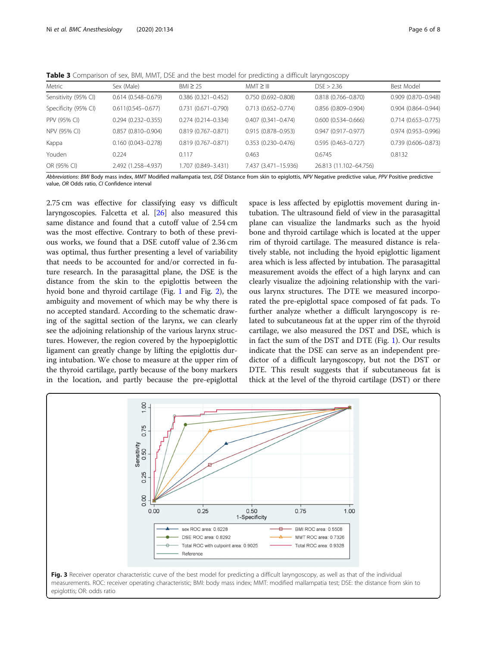<span id="page-5-0"></span>Table 3 Comparison of sex, BMI, MMT, DSE and the best model for predicting a difficult laryngoscopy

| Metric               | Sex (Male)             | $BM \geq 25$              | $MMT \geq III$         | DSE > 2.36             | Best Model                |
|----------------------|------------------------|---------------------------|------------------------|------------------------|---------------------------|
| Sensitivity (95% CI) | $0.614(0.548 - 0.679)$ | $0.386$ $(0.321 - 0.452)$ | $0.750(0.692 - 0.808)$ | $0.818(0.766 - 0.870)$ | 0.909 (0.870-0.948)       |
| Specificity (95% CI) | $0.611(0.545 - 0.677)$ | $0.731(0.671 - 0.790)$    | $0.713(0.652 - 0.774)$ | $0.856(0.809 - 0.904)$ | $0.904$ $(0.864 - 0.944)$ |
| PPV (95% CI)         | $0.294(0.232 - 0.355)$ | $0.274(0.214 - 0.334)$    | $0.407(0.341 - 0.474)$ | $0.600(0.534 - 0.666)$ | $0.714(0.653 - 0.775)$    |
| NPV (95% CI)         | $0.857(0.810 - 0.904)$ | $0.819(0.767 - 0.871)$    | $0.915(0.878 - 0.953)$ | $0.947(0.917 - 0.977)$ | 0.974 (0.953-0.996)       |
| Kappa                | $0.160(0.043 - 0.278)$ | $0.819(0.767 - 0.871)$    | $0.353(0.230 - 0.476)$ | $0.595(0.463 - 0.727)$ | $0.739(0.606 - 0.873)$    |
| Youden               | 0.224                  | 0.117                     | 0.463                  | 0.6745                 | 0.8132                    |
| OR (95% CI)          | 2.492 (1.258-4.937)    | 1.707 (0.849-3.431)       | 7.437 (3.471-15.936)   | 26.813 (11.102-64.756) |                           |
|                      |                        |                           |                        |                        |                           |

Abbreviations: BMI Body mass index, MMT Modified mallampatia test, DSE Distance from skin to epiglottis, NPV Negative predictive value, PPV Positive predictive value, OR Odds ratio, CI Confidence interval

2.75 cm was effective for classifying easy vs difficult laryngoscopies. Falcetta et al. [\[26](#page-7-0)] also measured this same distance and found that a cutoff value of 2.54 cm was the most effective. Contrary to both of these previous works, we found that a DSE cutoff value of 2.36 cm was optimal, thus further presenting a level of variability that needs to be accounted for and/or corrected in future research. In the parasagittal plane, the DSE is the distance from the skin to the epiglottis between the hyoid bone and thyroid cartilage (Fig. [1](#page-2-0) and Fig. [2\)](#page-3-0), the ambiguity and movement of which may be why there is no accepted standard. According to the schematic drawing of the sagittal section of the larynx, we can clearly see the adjoining relationship of the various larynx structures. However, the region covered by the hypoepiglottic ligament can greatly change by lifting the epiglottis during intubation. We chose to measure at the upper rim of the thyroid cartilage, partly because of the bony markers in the location, and partly because the pre-epiglottal

space is less affected by epiglottis movement during intubation. The ultrasound field of view in the parasagittal plane can visualize the landmarks such as the hyoid bone and thyroid cartilage which is located at the upper rim of thyroid cartilage. The measured distance is relatively stable, not including the hyoid epiglottic ligament area which is less affected by intubation. The parasagittal measurement avoids the effect of a high larynx and can clearly visualize the adjoining relationship with the various larynx structures. The DTE we measured incorporated the pre-epiglottal space composed of fat pads. To further analyze whether a difficult laryngoscopy is related to subcutaneous fat at the upper rim of the thyroid cartilage, we also measured the DST and DSE, which is in fact the sum of the DST and DTE (Fig. [1\)](#page-2-0). Our results indicate that the DSE can serve as an independent predictor of a difficult laryngoscopy, but not the DST or DTE. This result suggests that if subcutaneous fat is thick at the level of the thyroid cartilage (DST) or there

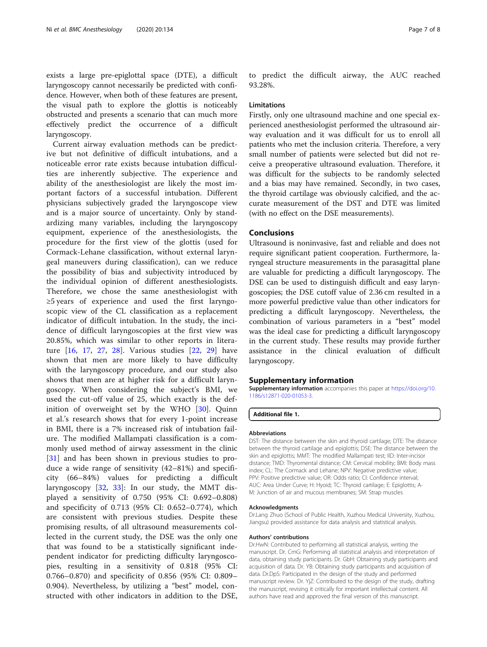exists a large pre-epiglottal space (DTE), a difficult laryngoscopy cannot necessarily be predicted with confidence. However, when both of these features are present, the visual path to explore the glottis is noticeably obstructed and presents a scenario that can much more effectively predict the occurrence of a difficult laryngoscopy.

Current airway evaluation methods can be predictive but not definitive of difficult intubations, and a noticeable error rate exists because intubation difficulties are inherently subjective. The experience and ability of the anesthesiologist are likely the most important factors of a successful intubation. Different physicians subjectively graded the laryngoscope view and is a major source of uncertainty. Only by standardizing many variables, including the laryngoscopy equipment, experience of the anesthesiologists, the procedure for the first view of the glottis (used for Cormack-Lehane classification, without external laryngeal maneuvers during classification), can we reduce the possibility of bias and subjectivity introduced by the individual opinion of different anesthesiologists. Therefore, we chose the same anesthesiologist with ≥5 years of experience and used the first laryngoscopic view of the CL classification as a replacement indicator of difficult intubation. In the study, the incidence of difficult laryngoscopies at the first view was 20.85%, which was similar to other reports in literature [[16,](#page-7-0) [17,](#page-7-0) [27,](#page-7-0) [28](#page-7-0)]. Various studies [\[22](#page-7-0), [29\]](#page-7-0) have shown that men are more likely to have difficulty with the laryngoscopy procedure, and our study also shows that men are at higher risk for a difficult laryngoscopy. When considering the subject's BMI, we used the cut-off value of 25, which exactly is the definition of overweight set by the WHO [\[30](#page-7-0)]. Quinn et al.'s research shows that for every 1-point increase in BMI, there is a 7% increased risk of intubation failure. The modified Mallampati classification is a commonly used method of airway assessment in the clinic [[31\]](#page-7-0) and has been shown in previous studies to produce a wide range of sensitivity (42–81%) and specificity (66–84%) values for predicting a difficult laryngoscopy [\[32](#page-7-0), [33](#page-7-0)]: In our study, the MMT displayed a sensitivity of 0.750 (95% CI: 0.692–0.808) and specificity of 0.713 (95% CI: 0.652–0.774), which are consistent with previous studies. Despite these promising results, of all ultrasound measurements collected in the current study, the DSE was the only one that was found to be a statistically significant independent indicator for predicting difficulty laryngoscopies, resulting in a sensitivity of 0.818 (95% CI: 0.766–0.870) and specificity of 0.856 (95% CI: 0.809– 0.904). Nevertheless, by utilizing a "best" model, constructed with other indicators in addition to the DSE,

to predict the difficult airway, the AUC reached 93.28%.

#### Limitations

Firstly, only one ultrasound machine and one special experienced anesthesiologist performed the ultrasound airway evaluation and it was difficult for us to enroll all patients who met the inclusion criteria. Therefore, a very small number of patients were selected but did not receive a preoperative ultrasound evaluation. Therefore, it was difficult for the subjects to be randomly selected and a bias may have remained. Secondly, in two cases, the thyroid cartilage was obviously calcified, and the accurate measurement of the DST and DTE was limited (with no effect on the DSE measurements).

#### Conclusions

Ultrasound is noninvasive, fast and reliable and does not require significant patient cooperation. Furthermore, laryngeal structure measurements in the parasagittal plane are valuable for predicting a difficult laryngoscopy. The DSE can be used to distinguish difficult and easy laryngoscopies; the DSE cutoff value of 2.36 cm resulted in a more powerful predictive value than other indicators for predicting a difficult laryngoscopy. Nevertheless, the combination of various parameters in a "best" model was the ideal case for predicting a difficult laryngoscopy in the current study. These results may provide further assistance in the clinical evaluation of difficult laryngoscopy.

#### Supplementary information

Supplementary information accompanies this paper at [https://doi.org/10.](https://doi.org/10.1186/s12871-020-01053-3) [1186/s12871-020-01053-3](https://doi.org/10.1186/s12871-020-01053-3).

Additional file 1.

#### Abbreviations

DST: The distance between the skin and thyroid cartilage; DTE: The distance between the thyroid cartilage and epiglottis; DSE: The distance between the skin and epiglottis; MMT: The modified Mallampati test; IID: Inter-incisor distance; TMD: Thyromental distance; CM: Cervical mobility; BMI: Body mass index; CL: The Cormack and Lehane; NPV: Negative predictive value; PPV: Positive predictive value; OR: Odds ratio; CI: Confidence interval; AUC: Area Under Curve; H: Hyoid; TC: Thyroid cartilage; E: Epiglottis; A-M: Junction of air and mucous membranes; SM: Strap muscles

#### Acknowledgments

Dr.Lang Zhuo (School of Public Health, Xuzhou Medical University, Xuzhou, Jiangsu) provided assistance for data analysis and statistical analysis.

#### Authors' contributions

Dr.HwN: Contributed to performing all statistical analysis, writing the manuscript. Dr. CmG: Performing all statistical analysis and interpretation of data, obtaining study participants. Dr. GbH: Obtaining study participants and acquisition of data. Dr. YB: Obtaining study participants and acquisition of data. Dr.DpS: Participated in the design of the study and performed manuscript review. Dr. YjZ: Contributed to the design of the study, drafting the manuscript, revising it critically for important intellectual content. All authors have read and approved the final version of this manuscript.